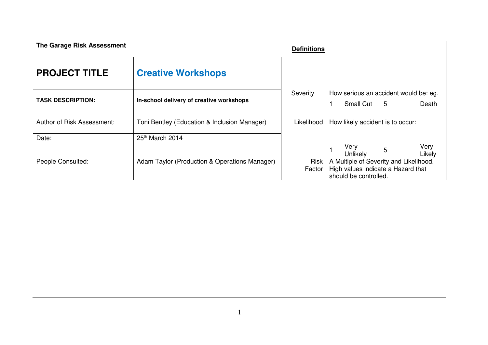| The Garage Risk Assessment |                                               | <b>Definitions</b> |                                                                                                                                                                    |  |  |  |  |  |
|----------------------------|-----------------------------------------------|--------------------|--------------------------------------------------------------------------------------------------------------------------------------------------------------------|--|--|--|--|--|
| <b>PROJECT TITLE</b>       | <b>Creative Workshops</b>                     |                    |                                                                                                                                                                    |  |  |  |  |  |
|                            |                                               | Severity           | How serious an accident would be: eg.                                                                                                                              |  |  |  |  |  |
| <b>TASK DESCRIPTION:</b>   | In-school delivery of creative workshops      |                    | Small Cut 5<br>Death                                                                                                                                               |  |  |  |  |  |
| Author of Risk Assessment: | Toni Bentley (Education & Inclusion Manager)  | Likelihood         | How likely accident is to occur:                                                                                                                                   |  |  |  |  |  |
| Date:                      | 25th March 2014                               |                    |                                                                                                                                                                    |  |  |  |  |  |
| People Consulted:          | Adam Taylor (Production & Operations Manager) | Factor             | Very<br>Very<br>Unlikely<br>$\overline{5}$<br>Likely<br>Risk A Multiple of Severity and Likelihood.<br>High values indicate a Hazard that<br>should be controlled. |  |  |  |  |  |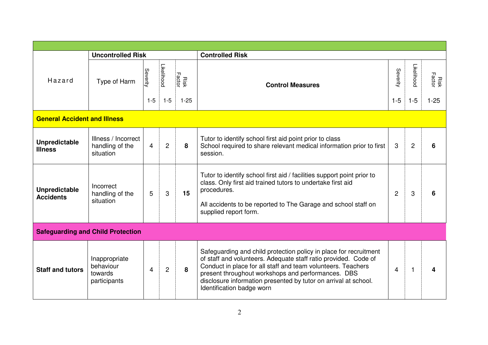|                                          | <b>Uncontrolled Risk</b>                              |                     |                              |                           | <b>Controlled Risk</b>                                                                                                                                                                                                                                                                                                                                     |                     |                       |                                   |
|------------------------------------------|-------------------------------------------------------|---------------------|------------------------------|---------------------------|------------------------------------------------------------------------------------------------------------------------------------------------------------------------------------------------------------------------------------------------------------------------------------------------------------------------------------------------------------|---------------------|-----------------------|-----------------------------------|
| Hazard                                   | Type of Harm                                          | Severity<br>$1 - 5$ | <b>Likelihood</b><br>$1 - 5$ | <b>Factor</b><br>$1 - 25$ | <b>Control Measures</b>                                                                                                                                                                                                                                                                                                                                    | Severity<br>$1 - 5$ | Likelihood<br>$1 - 5$ | <b>Risk</b><br>Factor<br>$1 - 25$ |
| <b>General Accident and Illness</b>      |                                                       |                     |                              |                           |                                                                                                                                                                                                                                                                                                                                                            |                     |                       |                                   |
| <b>Unpredictable</b><br><b>Illness</b>   | Illness / Incorrect<br>handling of the<br>situation   | $\overline{4}$      | $\overline{2}$               | 8                         | Tutor to identify school first aid point prior to class<br>School required to share relevant medical information prior to first<br>session.                                                                                                                                                                                                                | 3                   | $\mathbf{2}$          |                                   |
| <b>Unpredictable</b><br><b>Accidents</b> | Incorrect<br>handling of the<br>situation             | 5                   | 3                            | 15                        | Tutor to identify school first aid / facilities support point prior to<br>class. Only first aid trained tutors to undertake first aid<br>procedures.<br>All accidents to be reported to The Garage and school staff on<br>supplied report form.                                                                                                            | $\overline{2}$      | 3                     | 6                                 |
| <b>Safeguarding and Child Protection</b> |                                                       |                     |                              |                           |                                                                                                                                                                                                                                                                                                                                                            |                     |                       |                                   |
| <b>Staff and tutors</b>                  | Inappropriate<br>behaviour<br>towards<br>participants | 4                   | $\overline{c}$               | 8                         | Safeguarding and child protection policy in place for recruitment<br>of staff and volunteers. Adequate staff ratio provided. Code of<br>Conduct in place for all staff and team volunteers. Teachers<br>present throughout workshops and performances. DBS<br>disclosure information presented by tutor on arrival at school.<br>Identification badge worn | 4                   |                       | Δ                                 |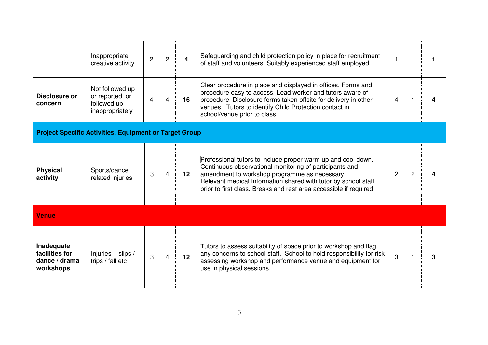|                                                               | Inappropriate<br>creative activity                                   | $\overline{2}$ | $\overline{c}$ | $\overline{\mathbf{4}}$ | Safeguarding and child protection policy in place for recruitment<br>of staff and volunteers. Suitably experienced staff employed.                                                                                                                                                                              | $\mathbf{1}$   |                | 1 |
|---------------------------------------------------------------|----------------------------------------------------------------------|----------------|----------------|-------------------------|-----------------------------------------------------------------------------------------------------------------------------------------------------------------------------------------------------------------------------------------------------------------------------------------------------------------|----------------|----------------|---|
| Disclosure or<br>concern                                      | Not followed up<br>or reported, or<br>followed up<br>inappropriately | 4              | 4              | 16                      | Clear procedure in place and displayed in offices. Forms and<br>procedure easy to access. Lead worker and tutors aware of<br>procedure. Disclosure forms taken offsite for delivery in other<br>venues. Tutors to identify Child Protection contact in<br>school/venue prior to class.                          | 4              |                |   |
| <b>Project Specific Activities, Equipment or Target Group</b> |                                                                      |                |                |                         |                                                                                                                                                                                                                                                                                                                 |                |                |   |
| <b>Physical</b><br>activity                                   | Sports/dance<br>related injuries                                     | 3              | $\overline{4}$ | $12 \overline{ }$       | Professional tutors to include proper warm up and cool down.<br>Continuous observational monitoring of participants and<br>amendment to workshop programme as necessary.<br>Relevant medical Information shared with tutor by school staff<br>prior to first class. Breaks and rest area accessible if required | $\overline{2}$ | $\overline{2}$ | Δ |
| <b>Venue</b>                                                  |                                                                      |                |                |                         |                                                                                                                                                                                                                                                                                                                 |                |                |   |
| Inadequate<br>facilities for<br>dance / drama<br>workshops    | Injuries $-$ slips /<br>trips / fall etc                             | 3              | $\overline{4}$ | 12                      | Tutors to assess suitability of space prior to workshop and flag<br>any concerns to school staff. School to hold responsibility for risk<br>assessing workshop and performance venue and equipment for<br>use in physical sessions.                                                                             | 3              |                | 3 |